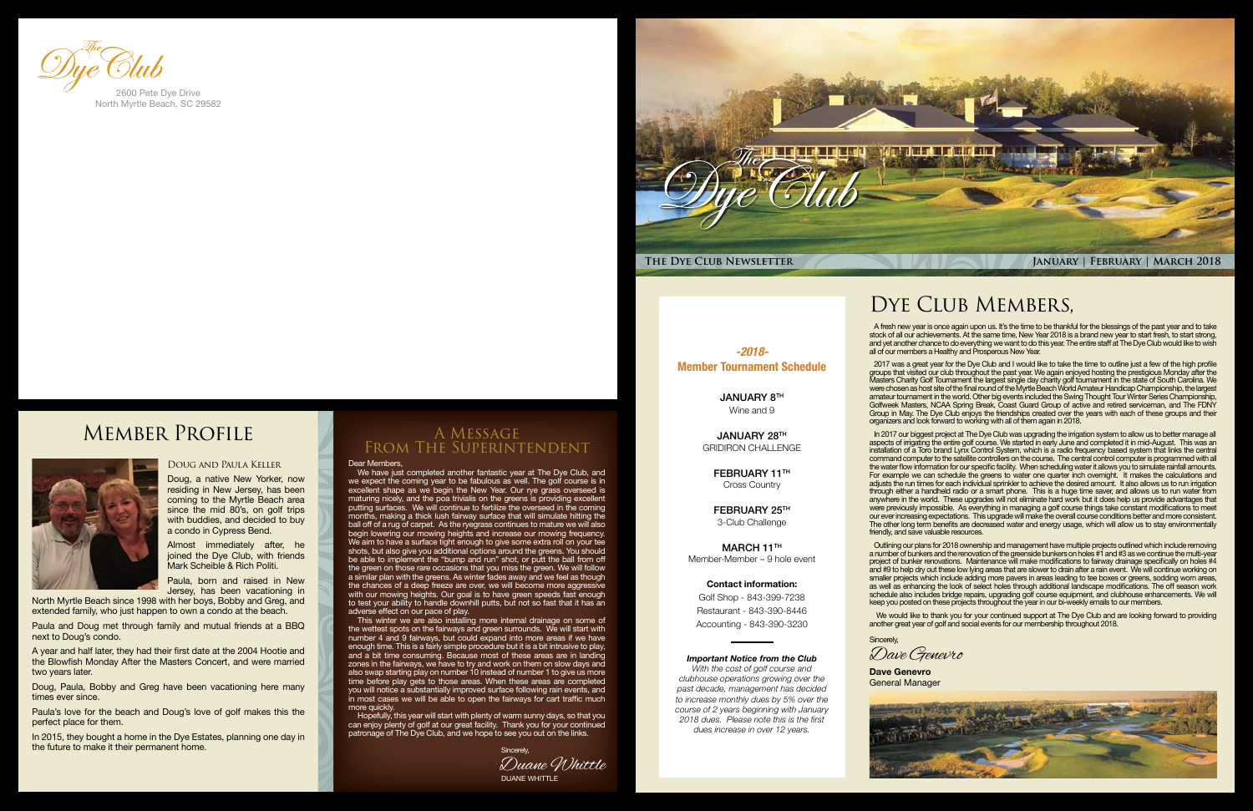

*-2018-* Member Tournament Schedule

JANUARY 28TH GRIDIRON CHALLENGE

> FEBRUARY 11TH Cross Country

JANUARY 8TH Wine and 9

MARCH 11TH Member-Member – 9 hole event

FEBRUARY 25TH 3-Club Challenge

### Contact information:

Golf Shop - 843-399-7238 Restaurant - 843-390-8446 Accounting - 843-390-3230

### *Important Notice from the Club*

*With the cost of golf course and clubhouse operations growing over the past decade, management has decided to increase monthly dues by 5% over the course of 2 years beginning with January 2018 dues. Please note this is the first dues increase in over 12 years.*

## DYE CLUB MEMBERS,



### Dear Members,

This winter we are also installing more internal drainage on some of the wettest spots on the fairways and green surrounds. We will start with number 4 and 9 fairways, but could expand into more areas if we have enough time. This is a fairly simple procedure but it is a bit intrusive to play, and a bit time consuming. Because most of these areas are in landing zones in the fairways, we have to try and work on them on slow days and also swap starting play on number 10 instead of number 1 to give us more time before play gets to those areas. When these areas are completed you will notice a substantially improved surface following rain events, and in most cases we will be able to open the fairways for cart traffic much more quickly

We have just completed another fantastic year at The Dye Club, and we expect the coming year to be fabulous as well. The golf course is in excellent shape as we begin the New Year. Our rye grass overseed is maturing nicely, and the poa trivialis on the greens is providing excellent putting surfaces. We will continue to fertilize the overseed in the coming months, making a thick lush fairway surface that will simulate hitting the ball off of a rug of carpet. As the ryegrass continues to mature we will also begin lowering our mowing heights and increase our mowing frequency. We aim to have a surface tight enough to give some extra roll on your tee shots, but also give you additional options around the greens. You should be able to implement the "bump and run" shot, or putt the ball from off the green on those rare occasions that you miss the green. We will follow a similar plan with the greens. As winter fades away and we feel as though the chances of a deep freeze are over, we will become more aggressive with our mowing heights. Our goal is to have green speeds fast enough to test your ability to handle downhill putts, but not so fast that it has an adverse effect on our pace of play.

Hopefully, this year will start with plenty of warm sunny days, so that you can enjoy plenty of golf at our great facility. Thank you for your continued patronage of The Dye Club, and we hope to see you out on the links.

### A Message From The Superintendent

A fresh new year is once again upon us. It's the time to be thankful for the blessings of the past year and to take stock of all our achievements. At the same time, New Year 2018 is a brand new year to start fresh, to start strong, and yet another chance to do everything we want to do this year. The entire staff at The Dye Club would like to wish all of our members a Healthy and Prosperous New Year.

2017 was a great year for the Dye Club and I would like to take the time to outline just a few of the high profile groups that visited our club throughout the past year. We again enjoyed hosting the prestigious Monday after the Masters Charity Golf Tournament the largest single day charity golf tournament in the state of South Carolina. We were chosen as host site of the final round of the Myrtle Beach World Amateur Handicap Championship, the largest amateur tournament in the world. Other big events included the Swing Thought Tour Winter Series Championship, Golfweek Masters, NCAA Spring Break, Coast Guard Group of active and retired serviceman, and The FDNY Group in May. The Dye Club enjoys the friendships created over the years with each of these groups and their organizers and look forward to working with all of them again in 2018.

In 2017 our biggest project at The Dye Club was upgrading the irrigation system to allow us to better manage all aspects of irrigating the entire golf course. We started in early June and completed it in mid-August. This was an installation of a Toro brand Lynx Control System, which is a radio frequency based system that links the central command computer to the satellite controllers on the course. The central control computer is programmed with all the water flow information for our specific facility. When scheduling water it allows you to simulate rainfall amounts. For example we can schedule the greens to water one quarter inch overnight. It makes the calculations and adjusts the run times for each individual sprinkler to achieve the desired amount. It also allows us to run irrigation through either a handheld radio or a smart phone. This is a huge time saver, and allows us to run water from anywhere in the world. These upgrades will not eliminate hard work but it does help us provide advantages that were previously impossible. As everything in managing a golf course things take constant modifications to meet our ever increasing expectations. This upgrade will make the overall course conditions better and more consistent. The other long term benefits are decreased water and energy usage, which will allow us to stay environmentally friendly, and save valuable resources.

Sincerely, Dave Genevro

Outlining our plans for 2018 ownership and management have multiple projects outlined which include removing a number of bunkers and the renovation of the greenside bunkers on holes #1 and #3 as we continue the multi-year project of bunker renovations. Maintenance will make modifications to fairway drainage specifically on holes #4 and #9 to help dry out these low lying areas that are slower to drain after a rain event. We will continue working on smaller projects which include adding more pavers in areas leading to tee boxes or greens, sodding worn areas, as well as enhancing the look of select holes through additional landscape modifications. The off season work schedule also includes bridge repairs, upgrading golf course equipment, and clubhouse enhancements. We will keep you posted on these projects throughout the year in our bi-weekly emails to our members.

 We would like to thank you for your continued support at The Dye Club and are looking forward to providing another great year of golf and social events for our membership throughout 2018.

### Doug and Paula Keller

Doug, a native New Yorker, now residing in New Jersey, has been coming to the Myrtle Beach area since the mid 80's, on golf trips with buddies, and decided to buy a condo in Cypress Bend.

Almost immediately after, he joined the Dye Club, with friends Mark Scheible & Rich Politi.

Paula, born and raised in New Jersey, has been vacationing in

North Myrtle Beach since 1998 with her boys, Bobby and Greg, and extended family, who just happen to own a condo at the beach.

Paula and Doug met through family and mutual friends at a BBQ next to Doug's condo.

A year and half later, they had their first date at the 2004 Hootie and the Blowfish Monday After the Masters Concert, and were married two years later.

Doug, Paula, Bobby and Greg have been vacationing here many times ever since.

Paula's love for the beach and Doug's love of golf makes this the perfect place for them.

In 2015, they bought a home in the Dye Estates, planning one day in the future to make it their permanent home.



North Myrtle Beach, SC 29582

Member Profile



DUANE WHITTLE Duane Whittle Sincerely,

**Dave Genevro** General Manager